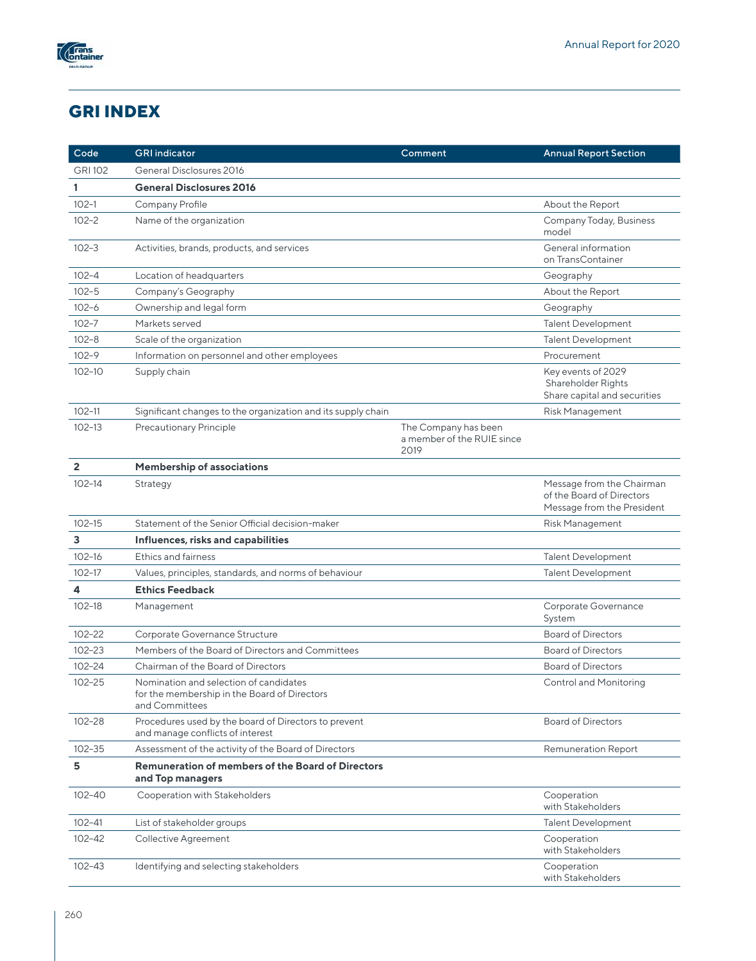

## **GRI INDEX**

| Code           | <b>GRI</b> indicator                                                                                     | Comment                                                    | <b>Annual Report Section</b>                                                         |
|----------------|----------------------------------------------------------------------------------------------------------|------------------------------------------------------------|--------------------------------------------------------------------------------------|
| <b>GRI 102</b> | General Disclosures 2016                                                                                 |                                                            |                                                                                      |
| 1              | <b>General Disclosures 2016</b>                                                                          |                                                            |                                                                                      |
| $102 - 1$      | Company Profile                                                                                          |                                                            | About the Report                                                                     |
| $102 - 2$      | Name of the organization                                                                                 |                                                            | Company Today, Business<br>model                                                     |
| $102 - 3$      | Activities, brands, products, and services                                                               |                                                            | General information<br>on TransContainer                                             |
| $102 - 4$      | Location of headquarters                                                                                 |                                                            | Geography                                                                            |
| $102 - 5$      | Company's Geography                                                                                      |                                                            | About the Report                                                                     |
| $102 - 6$      | Ownership and legal form                                                                                 |                                                            | Geography                                                                            |
| $102 - 7$      | Markets served                                                                                           |                                                            | <b>Talent Development</b>                                                            |
| $102 - 8$      | Scale of the organization                                                                                |                                                            | <b>Talent Development</b>                                                            |
| $102 - 9$      | Information on personnel and other employees                                                             |                                                            | Procurement                                                                          |
| $102 - 10$     | Supply chain                                                                                             |                                                            | Key events of 2029<br>Shareholder Rights<br>Share capital and securities             |
| $102 - 11$     | Significant changes to the organization and its supply chain                                             |                                                            | Risk Management                                                                      |
| $102 - 13$     | <b>Precautionary Principle</b>                                                                           | The Company has been<br>a member of the RUIE since<br>2019 |                                                                                      |
| $\overline{2}$ | <b>Membership of associations</b>                                                                        |                                                            |                                                                                      |
| $102 - 14$     | Strategy                                                                                                 |                                                            | Message from the Chairman<br>of the Board of Directors<br>Message from the President |
| $102 - 15$     | Statement of the Senior Official decision-maker                                                          |                                                            | Risk Management                                                                      |
| 3              | Influences, risks and capabilities                                                                       |                                                            |                                                                                      |
| $102 - 16$     | <b>Ethics and fairness</b>                                                                               |                                                            | <b>Talent Development</b>                                                            |
| $102 - 17$     | Values, principles, standards, and norms of behaviour                                                    |                                                            | <b>Talent Development</b>                                                            |
| 4              | <b>Ethics Feedback</b>                                                                                   |                                                            |                                                                                      |
| $102 - 18$     | Management                                                                                               |                                                            | Corporate Governance<br>System                                                       |
| $102 - 22$     | Corporate Governance Structure                                                                           |                                                            | <b>Board of Directors</b>                                                            |
| $102 - 23$     | Members of the Board of Directors and Committees                                                         |                                                            | <b>Board of Directors</b>                                                            |
| $102 - 24$     | Chairman of the Board of Directors                                                                       |                                                            | <b>Board of Directors</b>                                                            |
| $102 - 25$     | Nomination and selection of candidates<br>for the membership in the Board of Directors<br>and Committees |                                                            | Control and Monitoring                                                               |
| $102 - 28$     | Procedures used by the board of Directors to prevent<br>and manage conflicts of interest                 |                                                            | <b>Board of Directors</b>                                                            |
| $102 - 35$     | Assessment of the activity of the Board of Directors                                                     |                                                            | Remuneration Report                                                                  |
| 5              | <b>Remuneration of members of the Board of Directors</b><br>and Top managers                             |                                                            |                                                                                      |
| $102 - 40$     | Cooperation with Stakeholders                                                                            |                                                            | Cooperation<br>with Stakeholders                                                     |
| $102 - 41$     | List of stakeholder groups                                                                               |                                                            | <b>Talent Development</b>                                                            |
| $102 - 42$     | <b>Collective Agreement</b>                                                                              |                                                            | Cooperation<br>with Stakeholders                                                     |
| $102 - 43$     | Identifying and selecting stakeholders                                                                   |                                                            | Cooperation<br>with Stakeholders                                                     |